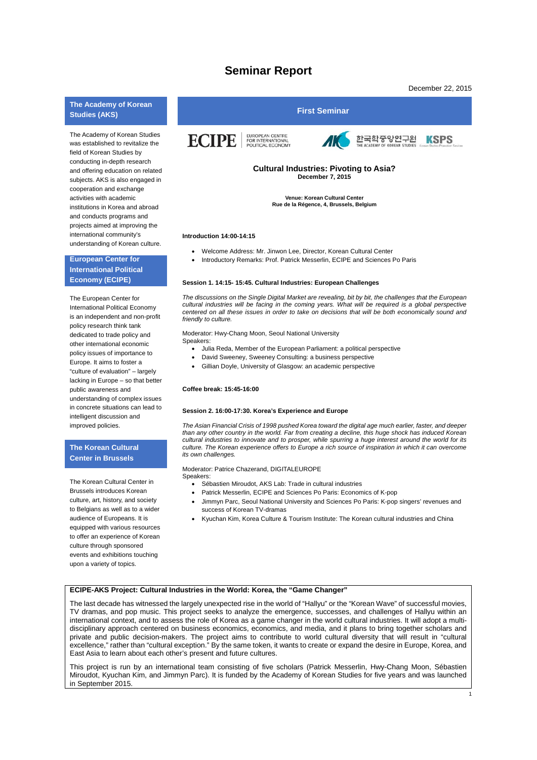# **Seminar Report**

December 22, 2015

1

# **The Academy of Korean**

The Academy of Korean Studies was established to revitalize the field of Korean Studies by conducting in-depth research and offering education on related subjects. AKS is also engaged in cooperation and exchange activities with academic institutions in Korea and abroad and conducts programs and projects aimed at improving the international community's understanding of Korean culture.

# **European Center for International Political Economy (ECIPE)**

The European Center for International Political Economy is an independent and non-profit policy research think tank dedicated to trade policy and other international economic policy issues of importance to Europe. It aims to foster a "culture of evaluation" – largely lacking in Europe – so that better public awareness and understanding of complex issues in concrete situations can lead to intelligent discussion and improved policies.

# **The Korean Cultural Center in Brussels**

The Korean Cultural Center in Brussels introduces Korean culture, art, history, and society to Belgians as well as to a wider audience of Europeans. It is equipped with various resources to offer an experience of Korean culture through sponsored events and exhibitions touching upon a variety of topics.



**Venue: Korean Cultural Center Rue de la Régence, 4, Brussels, Belgium**

## **Introduction 14:00-14:15**

- Welcome Address: Mr. Jinwon Lee, Director, Korean Cultural Center
- Introductory Remarks: Prof. Patrick Messerlin, ECIPE and Sciences Po Paris

#### **Session 1. 14:15- 15:45. Cultural Industries: European Challenges**

*The discussions on the Single Digital Market are revealing, bit by bit, the challenges that the European cultural industries will be facing in the coming years. What will be required is a global perspective centered on all these issues in order to take on decisions that will be both economically sound and friendly to culture.* 

Moderator: Hwy-Chang Moon, Seoul National University

- Speakers:
	- Julia Reda, Member of the European Parliament: a political perspective
	- David Sweeney, Sweeney Consulting: a business perspective
	- Gillian Doyle, University of Glasgow: an academic perspective

#### **Coffee break: 15:45-16:00**

#### **Session 2. 16:00-17:30. Korea's Experience and Europe**

*The Asian Financial Crisis of 1998 pushed Korea toward the digital age much earlier, faster, and deeper than any other country in the world. Far from creating a decline, this huge shock has induced Korean cultural industries to innovate and to prosper, while spurring a huge interest around the world for its culture. The Korean experience offers to Europe a rich source of inspiration in which it can overcome its own challenges.*

#### Moderator: Patrice Chazerand, DIGITALEUROPE

Speakers:

- Sébastien Miroudot, AKS Lab: Trade in cultural industries
- Patrick Messerlin, ECIPE and Sciences Po Paris: Economics of K-pop
- Jimmyn Parc, Seoul National University and Sciences Po Paris: K-pop singers' revenues and success of Korean TV-dramas
- Kyuchan Kim, Korea Culture & Tourism Institute: The Korean cultural industries and China

### **ECIPE-AKS Project: Cultural Industries in the World: Korea, the "Game Changer"**

The last decade has witnessed the largely unexpected rise in the world of "Hallyu" or the "Korean Wave" of successful movies, TV dramas, and pop music. This project seeks to analyze the emergence, successes, and challenges of Hallyu within an international context, and to assess the role of Korea as a game changer in the world cultural industries. It will adopt a multidisciplinary approach centered on business economics, economics, and media, and it plans to bring together scholars and private and public decision-makers. The project aims to contribute to world cultural diversity that will result in "cultural excellence," rather than "cultural exception." By the same token, it wants to create or expand the desire in Europe, Korea, and East Asia to learn about each other's present and future cultures.

This project is run by an international team consisting of five scholars (Patrick Messerlin, Hwy-Chang Moon, Sébastien Miroudot, Kyuchan Kim, and Jimmyn Parc). It is funded by the Academy of Korean Studies for five years and was launched in September 2015.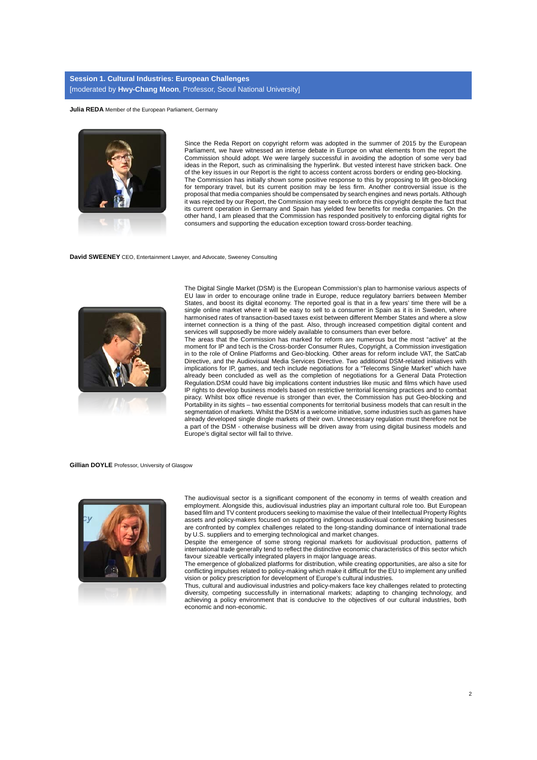# **Session 1. Cultural Industries: European Challenges** [moderated by **Hwy-Chang Moon**, Professor, Seoul National University]

**Julia REDA** Member of the European Parliament, Germany



Since the Reda Report on copyright reform was adopted in the summer of 2015 by the European Parliament, we have witnessed an intense debate in Europe on what elements from the report the Commission should adopt. We were largely successful in avoiding the adoption of some very bad ideas in the Report, such as criminalising the hyperlink. But vested interest have stricken back. One of the key issues in our Report is the right to access content across borders or ending geo-blocking. The Commission has initially shown some positive response to this by proposing to lift geo-blocking for temporary travel, but its current position may be less firm. Another controversial issue is the proposal that media companies should be compensated by search engines and news portals. Although it was rejected by our Report, the Commission may seek to enforce this copyright despite the fact that its current operation in Germany and Spain has yielded few benefits for media companies. On the other hand, I am pleased that the Commission has responded positively to enforcing digital rights for consumers and supporting the education exception toward cross-border teaching.

**David SWEENEY** CEO, Entertainment Lawyer, and Advocate, Sweeney Consulting



The Digital Single Market (DSM) is the European Commission's plan to harmonise various aspects of EU law in order to encourage online trade in Europe, reduce regulatory barriers between Member States, and boost its digital economy. The reported goal is that in a few years' time there will be a single online market where it will be easy to sell to a consumer in Spain as it is in Sweden, where harmonised rates of transaction-based taxes exist between different Member States and where a slow internet connection is a thing of the past. Also, through increased competition digital content and services will supposedly be more widely available to consumers than ever before.

The areas that the Commission has marked for reform are numerous but the most "active" at the moment for IP and tech is the Cross-border Consumer Rules, Copyright, a Commission investigation in to the role of Online Platforms and Geo-blocking. Other areas for reform include VAT, the SatCab Directive, and the Audiovisual Media Services Directive. Two additional DSM-related initiatives with implications for IP, games, and tech include negotiations for a "Telecoms Single Market" which have already been concluded as well as the completion of negotiations for a General Data Protection Regulation.DSM could have big implications content industries like music and films which have used IP rights to develop business models based on restrictive territorial licensing practices and to combat piracy. Whilst box office revenue is stronger than ever, the Commission has put Geo-blocking and Portability in its sights – two essential components for territorial business models that can result in the segmentation of markets. Whilst the DSM is a welcome initiative, some industries such as games have already developed single dingle markets of their own. Unnecessary regulation must therefore not be a part of the DSM - otherwise business will be driven away from using digital business models and Europe's digital sector will fail to thrive.

# **Gillian DOYLE** Professor, University of Glasgow



The audiovisual sector is a significant component of the economy in terms of wealth creation and employment. Alongside this, audiovisual industries play an important cultural role too. But European based film and TV content producers seeking to maximise the value of their Intellectual Property Rights assets and policy-makers focused on supporting indigenous audiovisual content making businesses are confronted by complex challenges related to the long-standing dominance of international trade by U.S. suppliers and to emerging technological and market changes.

Despite the emergence of some strong regional markets for audiovisual production, patterns of international trade generally tend to reflect the distinctive economic characteristics of this sector which favour sizeable vertically integrated players in major language areas.

The emergence of globalized platforms for distribution, while creating opportunities, are also a site for conflicting impulses related to policy-making which make it difficult for the EU to implement any unified vision or policy prescription for development of Europe's cultural industries.

Thus, cultural and audiovisual industries and policy-makers face key challenges related to protecting diversity, competing successfully in international markets; adapting to changing technology, and achieving a policy environment that is conducive to the objectives of our cultural industries, both economic and non-economic.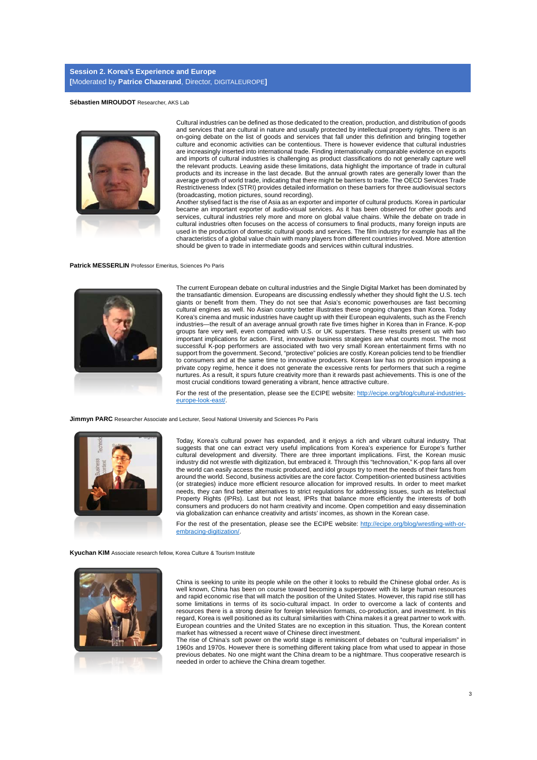#### **Sébastien MIROUDOT** Researcher, AKS Lab



Cultural industries can be defined as those dedicated to the creation, production, and distribution of goods and services that are cultural in nature and usually protected by intellectual property rights. There is an on-going debate on the list of goods and services that fall under this definition and bringing together culture and economic activities can be contentious. There is however evidence that cultural industries are increasingly inserted into international trade. Finding internationally comparable evidence on exports and imports of cultural industries is challenging as product classifications do not generally capture well the relevant products. Leaving aside these limitations, data highlight the importance of trade in cultural products and its increase in the last decade. But the annual growth rates are generally lower than the average growth of world trade, indicating that there might be barriers to trade. The OECD Services Trade Restrictiveness Index (STRI) provides detailed information on these barriers for three audiovisual sectors (broadcasting, motion pictures, sound recording).

Another stylised fact is the rise of Asia as an exporter and importer of cultural products. Korea in particular became an important exporter of audio-visual services. As it has been observed for other goods and services, cultural industries rely more and more on global value chains. While the debate on trade in cultural industries often focuses on the access of consumers to final products, many foreign inputs are used in the production of domestic cultural goods and services. The film industry for example has all the characteristics of a global value chain with many players from different countries involved. More attention should be given to trade in intermediate goods and services within cultural industries.

#### **Patrick MESSERLIN** Professor Emeritus, Sciences Po Paris



The current European debate on cultural industries and the Single Digital Market has been dominated by the transatlantic dimension. Europeans are discussing endlessly whether they should fight the U.S. tech giants or benefit from them. They do not see that Asia's economic powerhouses are fast becoming cultural engines as well. No Asian country better illustrates these ongoing changes than Korea. Today Korea's cinema and music industries have caught up with their European equivalents, such as the French industries—the result of an average annual growth rate five times higher in Korea than in France. K-pop groups fare very well, even compared with U.S. or UK superstars. These results present us with two important implications for action. First, innovative business strategies are what counts most. The most successful K-pop performers are associated with two very small Korean entertainment firms with no support from the government. Second, "protective" policies are costly. Korean policies tend to be friendlier to consumers and at the same time to innovative producers. Korean law has no provision imposing a private copy regime, hence it does not generate the excessive rents for performers that such a regime nurtures. As a result, it spurs future creativity more than it rewards past achievements. This is one of the most crucial conditions toward generating a vibrant, hence attractive culture.

For the rest of the presentation, please see the ECIPE website: [http://ecipe.org/blog/cultural-industries](http://ecipe.org/blog/cultural-industries-europe-look-east/)[europe-look-east/.](http://ecipe.org/blog/cultural-industries-europe-look-east/)

**Jimmyn PARC** Researcher Associate and Lecturer, Seoul National University and Sciences Po Paris



Today, Korea's cultural power has expanded, and it enjoys a rich and vibrant cultural industry. That suggests that one can extract very useful implications from Korea's experience for Europe's further cultural development and diversity. There are three important implications. First, the Korean music industry did not wrestle with digitization, but embraced it. Through this "technovation," K-pop fans all over the world can easily access the music produced, and idol groups try to meet the needs of their fans from around the world. Second, business activities are the core factor. Competition-oriented business activities (or strategies) induce more efficient resource allocation for improved results. In order to meet market needs, they can find better alternatives to strict regulations for addressing issues, such as Intellectual Property Rights (IPRs). Last but not least, IPRs that balance more efficiently the interests of both consumers and producers do not harm creativity and income. Open competition and easy dissemination via globalization can enhance creativity and artists' incomes, as shown in the Korean case.

For the rest of the presentation, please see the ECIPE website: [http://ecipe.org/blog/wrestling-with-or](http://ecipe.org/blog/wrestling-with-or-embracing-digitization/)embracing-digitization/

**Kyuchan KIM** Associate research fellow, Korea Culture & Tourism Institute



China is seeking to unite its people while on the other it looks to rebuild the Chinese global order. As is well known, China has been on course toward becoming a superpower with its large human resources and rapid economic rise that will match the position of the United States. However, this rapid rise still has some limitations in terms of its socio-cultural impact. In order to overcome a lack of contents and resources there is a strong desire for foreign television formats, co-production, and investment. In this regard, Korea is well positioned as its cultural similarities with China makes it a great partner to work with. European countries and the United States are no exception in this situation. Thus, the Korean content market has witnessed a recent wave of Chinese direct investment.

The rise of China's soft power on the world stage is reminiscent of debates on "cultural imperialism" in 1960s and 1970s. However there is something different taking place from what used to appear in those previous debates. No one might want the China dream to be a nightmare. Thus cooperative research is needed in order to achieve the China dream together.